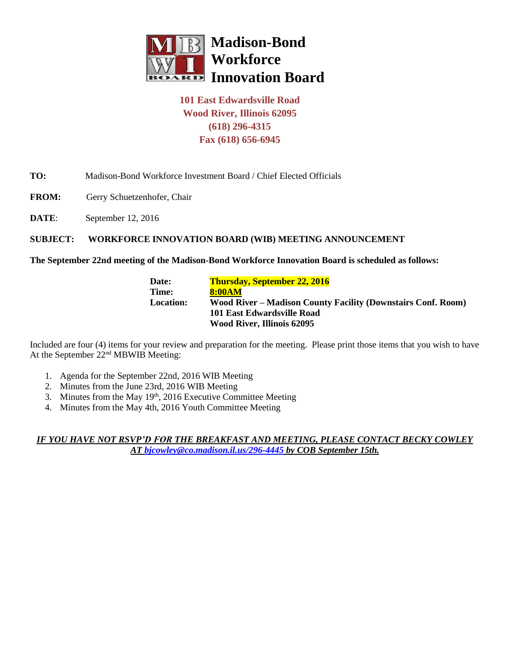

# **101 East Edwardsville Road Wood River, Illinois 62095 (618) 296-4315 Fax (618) 656-6945**

## **TO:** Madison-Bond Workforce Investment Board / Chief Elected Officials

- **FROM:** Gerry Schuetzenhofer, Chair
- **DATE**: September 12, 2016

### **SUBJECT: WORKFORCE INNOVATION BOARD (WIB) MEETING ANNOUNCEMENT**

#### **The September 22nd meeting of the Madison-Bond Workforce Innovation Board is scheduled as follows:**

**Date: Thursday, September 22, 2016 Time: 8:00AM Location: Wood River – Madison County Facility (Downstairs Conf. Room) 101 East Edwardsville Road Wood River, Illinois 62095**

Included are four (4) items for your review and preparation for the meeting. Please print those items that you wish to have At the September 22nd MBWIB Meeting:

- 1. Agenda for the September 22nd, 2016 WIB Meeting
- 2. Minutes from the June 23rd, 2016 WIB Meeting
- 3. Minutes from the May 19<sup>th</sup>, 2016 Executive Committee Meeting
- 4. Minutes from the May 4th, 2016 Youth Committee Meeting

*IF YOU HAVE NOT RSVP'D FOR THE BREAKFAST AND MEETING, PLEASE CONTACT BECKY COWLEY AT [bjcowley@co.madison.il.us/](mailto:bjcowley@co.madison.il.us)296-4445 by COB September 15th.*